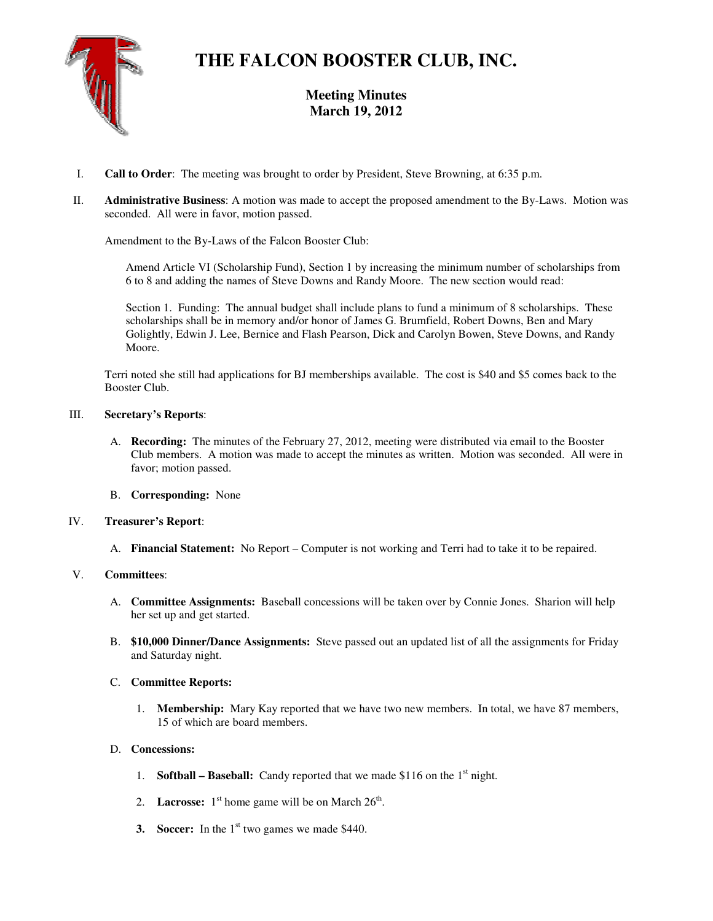

# **THE FALCON BOOSTER CLUB, INC.**

**Meeting Minutes March 19, 2012** 

- I. **Call to Order**: The meeting was brought to order by President, Steve Browning, at 6:35 p.m.
- II. **Administrative Business**: A motion was made to accept the proposed amendment to the By-Laws. Motion was seconded. All were in favor, motion passed.

Amendment to the By-Laws of the Falcon Booster Club:

Amend Article VI (Scholarship Fund), Section 1 by increasing the minimum number of scholarships from 6 to 8 and adding the names of Steve Downs and Randy Moore. The new section would read:

Section 1. Funding: The annual budget shall include plans to fund a minimum of 8 scholarships. These scholarships shall be in memory and/or honor of James G. Brumfield, Robert Downs, Ben and Mary Golightly, Edwin J. Lee, Bernice and Flash Pearson, Dick and Carolyn Bowen, Steve Downs, and Randy Moore.

Terri noted she still had applications for BJ memberships available. The cost is \$40 and \$5 comes back to the Booster Club.

## III. **Secretary's Reports**:

- A. **Recording:** The minutes of the February 27, 2012, meeting were distributed via email to the Booster Club members. A motion was made to accept the minutes as written. Motion was seconded. All were in favor; motion passed.
- B. **Corresponding:** None

## IV. **Treasurer's Report**:

A. **Financial Statement:** No Report – Computer is not working and Terri had to take it to be repaired.

## V. **Committees**:

- A. **Committee Assignments:** Baseball concessions will be taken over by Connie Jones. Sharion will help her set up and get started.
- B. **\$10,000 Dinner/Dance Assignments:** Steve passed out an updated list of all the assignments for Friday and Saturday night.

## C. **Committee Reports:**

1. **Membership:** Mary Kay reported that we have two new members. In total, we have 87 members, 15 of which are board members.

## D. **Concessions:**

- 1. **Softball Baseball:** Candy reported that we made \$116 on the 1st night.
- 2. **Lacrosse:**  $1<sup>st</sup>$  home game will be on March  $26<sup>th</sup>$ .
- **3. Soccer:** In the 1<sup>st</sup> two games we made \$440.